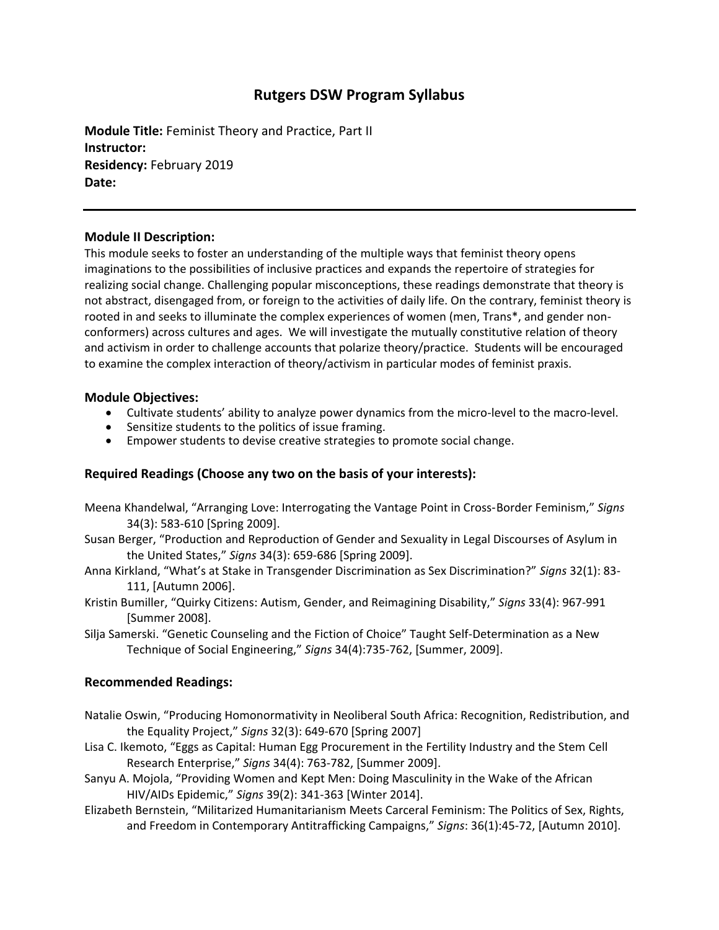# **Rutgers DSW Program Syllabus**

**Module Title:** Feminist Theory and Practice, Part II **Instructor: Residency:** February 2019 **Date:** 

### **Module II Description:**

This module seeks to foster an understanding of the multiple ways that feminist theory opens imaginations to the possibilities of inclusive practices and expands the repertoire of strategies for realizing social change. Challenging popular misconceptions, these readings demonstrate that theory is not abstract, disengaged from, or foreign to the activities of daily life. On the contrary, feminist theory is rooted in and seeks to illuminate the complex experiences of women (men, Trans\*, and gender nonconformers) across cultures and ages. We will investigate the mutually constitutive relation of theory and activism in order to challenge accounts that polarize theory/practice. Students will be encouraged to examine the complex interaction of theory/activism in particular modes of feminist praxis.

### **Module Objectives:**

- Cultivate students' ability to analyze power dynamics from the micro-level to the macro-level.
- Sensitize students to the politics of issue framing.
- Empower students to devise creative strategies to promote social change.

# **Required Readings (Choose any two on the basis of your interests):**

- Meena Khandelwal, "Arranging Love: Interrogating the Vantage Point in Cross‐Border Feminism," *Signs*  34(3): 583-610 [Spring 2009].
- Susan Berger, "Production and Reproduction of Gender and Sexuality in Legal Discourses of Asylum in the United States," *Signs* 34(3): 659-686 [Spring 2009].
- Anna Kirkland, "What's at Stake in Transgender Discrimination as Sex Discrimination?" *Signs* 32(1): 83- 111, [Autumn 2006].
- Kristin Bumiller, "Quirky Citizens: Autism, Gender, and Reimagining Disability," *Signs* 33(4): 967-991 [Summer 2008].
- Silja Samerski. "Genetic Counseling and the Fiction of Choice" Taught Self-Determination as a New Technique of Social Engineering," *Signs* 34(4):735-762, [Summer, 2009].

# **Recommended Readings:**

- Natalie Oswin, "Producing Homonormativity in Neoliberal South Africa: Recognition, Redistribution, and the Equality Project," *Signs* 32(3): 649-670 [Spring 2007]
- Lisa C. Ikemoto, "Eggs as Capital: Human Egg Procurement in the Fertility Industry and the Stem Cell Research Enterprise," *Signs* 34(4): 763-782, [Summer 2009].
- Sanyu A. Mojola, "Providing Women and Kept Men: Doing Masculinity in the Wake of the African HIV/AIDs Epidemic," *Signs* 39(2): 341-363 [Winter 2014].
- Elizabeth Bernstein, "Militarized Humanitarianism Meets Carceral Feminism: The Politics of Sex, Rights, and Freedom in Contemporary Antitrafficking Campaigns," *Signs*: 36(1):45-72, [Autumn 2010].